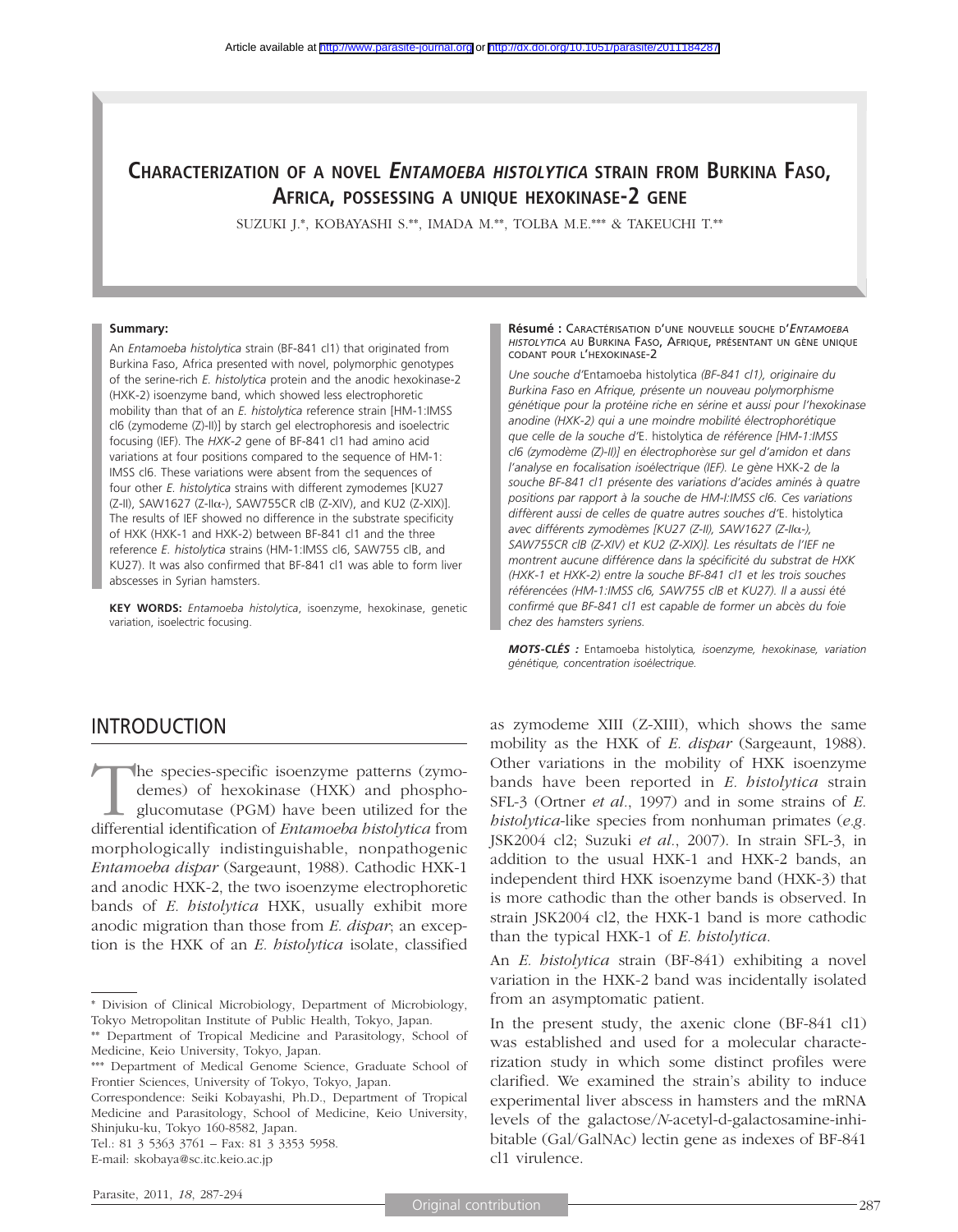## **CHARACTERIZATION OF A NOVEL ENTAMOEBA HISTOLYTICA STRAIN FROM BURKINA FASO, AFRICA, POSSESSING A UNIQUE HEXOKINASE-2 GENE**

SUZUKI J.\*, KOBAYASHI S.\*\*, IMADA M.\*\*, TOLBA M.E.\*\*\* & TAKEUCHI T.\*\*

#### **Summary:**

An *Entamoeba histolytica* strain (BF-841 cl1) that originated from Burkina Faso, Africa presented with novel, polymorphic genotypes of the serine-rich *E. histolytica* protein and the anodic hexokinase-2 (HXK-2) isoenzyme band, which showed less electrophoretic mobility than that of an *E. histolytica* reference strain [HM-1:IMSS cl6 (zymodeme (Z)-II)] by starch gel electrophoresis and isoelectric focusing (IEF). The *HXK-2* gene of BF-841 cl1 had amino acid variations at four positions compared to the sequence of HM-1: IMSS cl6. These variations were absent from the sequences of four other *E. histolytica* strains with different zymodemes [KU27 (Z-II), SAW1627 (Z-IIα-), SAW755CR clB (Z-XIV), and KU2 (Z-XIX)]. The results of IEF showed no difference in the substrate specificity of HXK (HXK-1 and HXK-2) between BF-841 cl1 and the three reference *E. histolytica* strains (HM-1:IMSS cl6, SAW755 clB, and KU27). It was also confirmed that BF-841 cl1 was able to form liver abscesses in Syrian hamsters.

**KEY WORDS:** *Entamoeba histolytica*, isoenzyme, hexokinase, genetic variation, isoelectric focusing.

### INTRODUCTION

The species-specific isoenzyme patterns (zymo-<br>demes) of hexokinase (HXK) and phospho-<br>glucomutase (PGM) have been utilized for the<br>differential identification of *Entamoeha histolytica* from demes) of hexokinase (HXK) and phosphoglucomutase (PGM) have been utilized for the differential identification of *Entamoeba histolytica* from morphologically indistinguishable, nonpathogenic *Entamoeba dispar* (Sargeaunt, 1988). Cathodic HXK-1 and anodic HXK-2, the two isoenzyme electrophoretic bands of *E. histolytica* HXK, usually exhibit more anodic migration than those from *E. dispar*; an exception is the HXK of an *E. histolytica* isolate, classified

Tel.: 81 3 5363 3761 – Fax: 81 3 3353 5958.

**Résumé :** CARACTÉRISATION D'UNE NOUVELLE SOUCHE D'*ENTAMOEBA HISTOLYTICA* AU BURKINA FASO, AFRIQUE, PRÉSENTANT UN GÈNE UNIQUE CODANT POUR L'HEXOKINASE-2

*Une souche d'*Entamoeba histolytica *(BF-841 cl1), originaire du Burkina Faso en Afrique, présente un nouveau polymorphisme génétique pour la protéine riche en sérine et aussi pour l'hexokinase anodine (HXK-2) qui a une moindre mobilité électrophorétique que celle de la souche d'*E. histolytica *de référence [HM-1:IMSS cl6 (zymodème (Z)-II)] en électrophorèse sur gel d'amidon et dans l'analyse en focalisation isoélectrique (IEF). Le gène* HXK-2 *de la souche BF-841 cl1 présente des variations d'acides aminés à quatre positions par rapport à la souche de HM-I:IMSS cl6. Ces variations diffèrent aussi de celles de quatre autres souches d'*E. histolytica *avec différents zymodèmes [KU27 (Z-II), SAW1627 (Z-II*α*-), SAW755CR clB (Z-XIV) et KU2 (Z-XIX)]. Les résultats de l'IEF ne montrent aucune différence dans la spécificité du substrat de HXK (HXK-1 et HXK-2) entre la souche BF-841 cl1 et les trois souches référencées (HM-1:IMSS cl6, SAW755 clB et KU27). Il a aussi été confirmé que BF-841 cl1 est capable de former un abcès du foie chez des hamsters syriens.*

*MOTS-CLÉS :* Entamoeba histolytica*, isoenzyme, hexokinase, variation génétique, concentration isoélectrique.*

as zymodeme XIII (Z-XIII), which shows the same mobility as the HXK of *E. dispar* (Sargeaunt, 1988). Other variations in the mobility of HXK isoenzyme bands have been reported in *E. histolytica* strain SFL-3 (Ortner *et al.*, 1997) and in some strains of *E. histolytica*-like species from nonhuman primates (*e.g.* JSK2004 cl2; Suzuki *et al.*, 2007). In strain SFL-3, in addition to the usual HXK-1 and HXK-2 bands, an independent third HXK isoenzyme band (HXK-3) that is more cathodic than the other bands is observed. In strain JSK2004 cl2, the HXK-1 band is more cathodic than the typical HXK-1 of *E. histolytica*.

An *E. histolytica* strain (BF-841) exhibiting a novel variation in the HXK-2 band was incidentally isolated from an asymptomatic patient.

In the present study, the axenic clone (BF-841 cl1) was established and used for a molecular characterization study in which some distinct profiles were clarified. We examined the strain's ability to induce experimental liver abscess in hamsters and the mRNA levels of the galactose/*N*-acetyl-d-galactosamine-inhibitable (Gal/GalNAc) lectin gene as indexes of BF-841 cl1 virulence.

<sup>\*</sup> Division of Clinical Microbiology, Department of Microbiology, Tokyo Metropolitan Institute of Public Health, Tokyo, Japan.

<sup>\*\*</sup> Department of Tropical Medicine and Parasitology, School of Medicine, Keio University, Tokyo, Japan.

<sup>\*\*\*</sup> Department of Medical Genome Science, Graduate School of Frontier Sciences, University of Tokyo, Tokyo, Japan.

Correspondence: Seiki Kobayashi, Ph.D., Department of Tropical Medicine and Parasitology, School of Medicine, Keio University, Shinjuku-ku, Tokyo 160-8582, Japan.

E-mail: skobaya@sc.itc.keio.ac.jp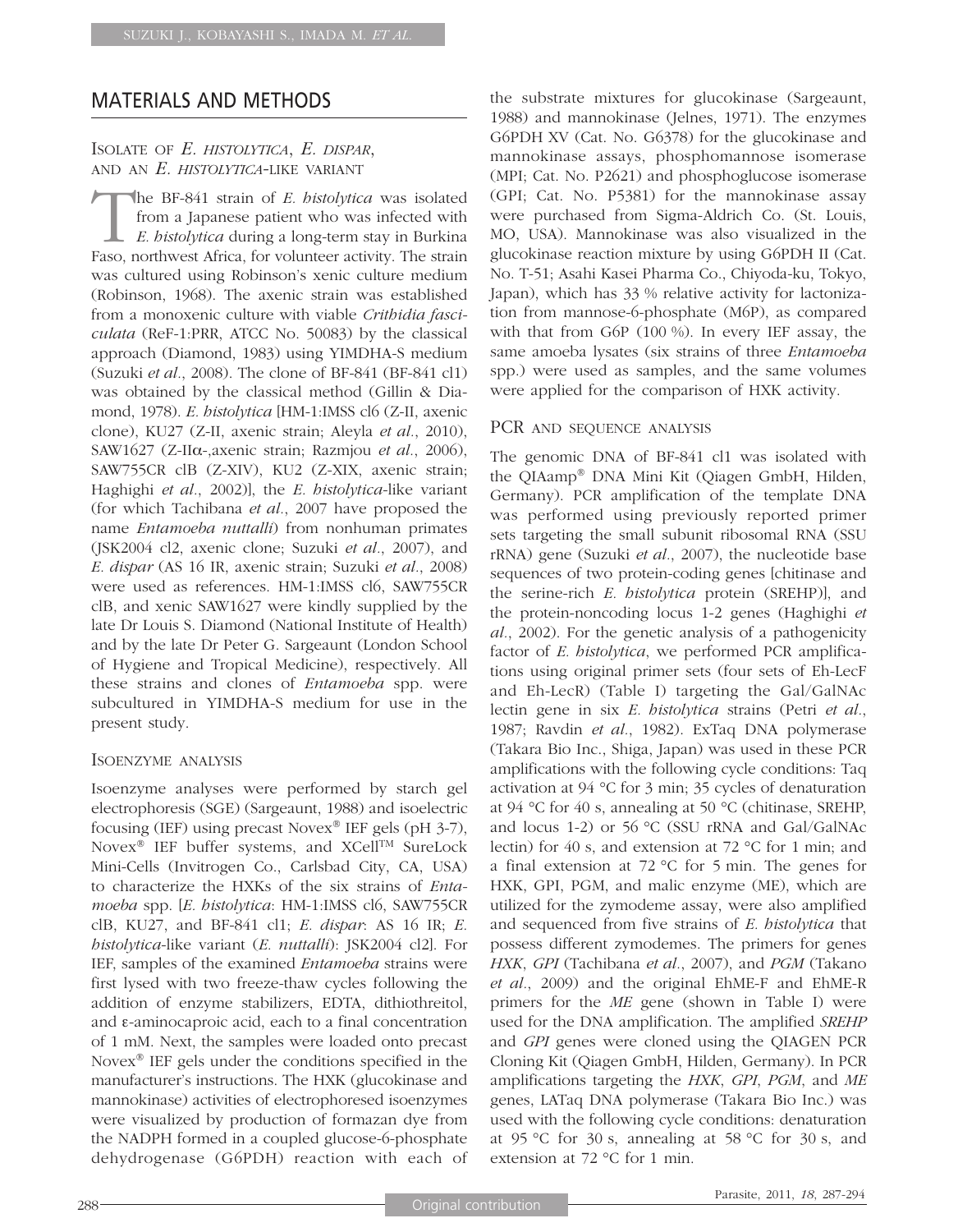## MATERIALS AND METHODS

### ISOLATE OF *E. HISTOLYTICA*, *E. DISPAR*, AND AN *E. HISTOLYTICA*-LIKE VARIANT

The BF-841 strain of *E. histolytica* was isolated from a Japanese patient who was infected with *E. histolytica* during a long-term stay in Burkina Faso, northwest Africa, for volunteer activity. The strain was cultured using Robinson's xenic culture medium (Robinson, 1968). The axenic strain was established from a monoxenic culture with viable *Crithidia fasciculata* (ReF-1:PRR, ATCC No. 50083) by the classical approach (Diamond, 1983) using YIMDHA-S medium (Suzuki *et al.*, 2008). The clone of BF-841 (BF-841 cl1) was obtained by the classical method (Gillin & Diamond, 1978). *E. histolytica* [HM-1:IMSS cl6 (Z-II, axenic clone), KU27 (Z-II, axenic strain; Aleyla *et al.*, 2010), SAW1627 (Z-IIα-,axenic strain; Razmjou *et al.*, 2006), SAW755CR clB (Z-XIV), KU2 (Z-XIX, axenic strain; Haghighi *et al.*, 2002)], the *E. histolytica*-like variant (for which Tachibana *et al.*, 2007 have proposed the name *Entamoeba nuttalli*) from nonhuman primates (JSK2004 cl2, axenic clone; Suzuki *et al.*, 2007), and *E. dispar* (AS 16 IR, axenic strain; Suzuki *et al.*, 2008) were used as references. HM-1:IMSS cl6, SAW755CR clB, and xenic SAW1627 were kindly supplied by the late Dr Louis S. Diamond (National Institute of Health) and by the late Dr Peter G. Sargeaunt (London School of Hygiene and Tropical Medicine), respectively. All these strains and clones of *Entamoeba* spp. were subcultured in YIMDHA-S medium for use in the present study.

### ISOENZYME ANALYSIS

Isoenzyme analyses were performed by starch gel electrophoresis (SGE) (Sargeaunt, 1988) and isoelectric focusing (IEF) using precast Novex® IEF gels (pH 3-7), Novex<sup>®</sup> IEF buffer systems, and XCell<sup>TM</sup> SureLock Mini-Cells (Invitrogen Co., Carlsbad City, CA, USA) to characterize the HXKs of the six strains of *Entamoeba* spp. [*E. histolytica*: HM-1:IMSS cl6, SAW755CR clB, KU27, and BF-841 cl1; *E. dispar*: AS 16 IR; *E. histolytica*-like variant (*E. nuttalli*): JSK2004 cl2]. For IEF, samples of the examined *Entamoeba* strains were first lysed with two freeze-thaw cycles following the addition of enzyme stabilizers, EDTA, dithiothreitol, and ε-aminocaproic acid, each to a final concentration of 1 mM. Next, the samples were loaded onto precast Novex® IEF gels under the conditions specified in the manufacturer's instructions. The HXK (glucokinase and mannokinase) activities of electrophoresed isoenzymes were visualized by production of formazan dye from the NADPH formed in a coupled glucose-6-phosphate dehydrogenase (G6PDH) reaction with each of the substrate mixtures for glucokinase (Sargeaunt, 1988) and mannokinase (Jelnes, 1971). The enzymes G6PDH XV (Cat. No. G6378) for the glucokinase and mannokinase assays, phosphomannose isomerase (MPI; Cat. No. P2621) and phosphoglucose isomerase (GPI; Cat. No. P5381) for the mannokinase assay were purchased from Sigma-Aldrich Co. (St. Louis, MO, USA). Mannokinase was also visualized in the glucokinase reaction mixture by using G6PDH II (Cat. No. T-51; Asahi Kasei Pharma Co., Chiyoda-ku, Tokyo, Japan), which has 33 % relative activity for lactonization from mannose-6-phosphate (M6P), as compared with that from G6P (100 %). In every IEF assay, the same amoeba lysates (six strains of three *Entamoeba* spp.) were used as samples, and the same volumes were applied for the comparison of HXK activity.

### PCR AND SEQUENCE ANALYSIS

The genomic DNA of BF-841 cl1 was isolated with the QIAamp® DNA Mini Kit (Qiagen GmbH, Hilden, Germany). PCR amplification of the template DNA was performed using previously reported primer sets targeting the small subunit ribosomal RNA (SSU rRNA) gene (Suzuki *et al.*, 2007), the nucleotide base sequences of two protein-coding genes [chitinase and the serine-rich *E. histolytica* protein (SREHP)], and the protein-noncoding locus 1-2 genes (Haghighi *et al.*, 2002). For the genetic analysis of a pathogenicity factor of *E. histolytica*, we performed PCR amplifications using original primer sets (four sets of Eh-LecF and Eh-LecR) (Table I) targeting the Gal/GalNAc lectin gene in six *E. histolytica* strains (Petri *et al.*, 1987; Ravdin *et al.*, 1982). ExTaq DNA polymerase (Takara Bio Inc., Shiga, Japan) was used in these PCR amplifications with the following cycle conditions: Taq activation at 94 °C for 3 min; 35 cycles of denaturation at 94 °C for 40 s, annealing at 50 °C (chitinase, SREHP, and locus 1-2) or 56 °C (SSU rRNA and Gal/GalNAc lectin) for 40 s, and extension at 72 °C for 1 min; and a final extension at 72 °C for 5 min. The genes for HXK, GPI, PGM, and malic enzyme (ME), which are utilized for the zymodeme assay, were also amplified and sequenced from five strains of *E. histolytica* that possess different zymodemes. The primers for genes *HXK*, *GPI* (Tachibana *et al.*, 2007), and *PGM* (Takano *et al.*, 2009) and the original EhME-F and EhME-R primers for the *ME* gene (shown in Table I) were used for the DNA amplification. The amplified *SREHP* and *GPI* genes were cloned using the QIAGEN PCR Cloning Kit (Qiagen GmbH, Hilden, Germany). In PCR amplifications targeting the *HXK*, *GPI*, *PGM*, and *ME* genes, LATaq DNA polymerase (Takara Bio Inc.) was used with the following cycle conditions: denaturation at 95 °C for 30 s, annealing at 58 °C for 30 s, and extension at 72 °C for 1 min.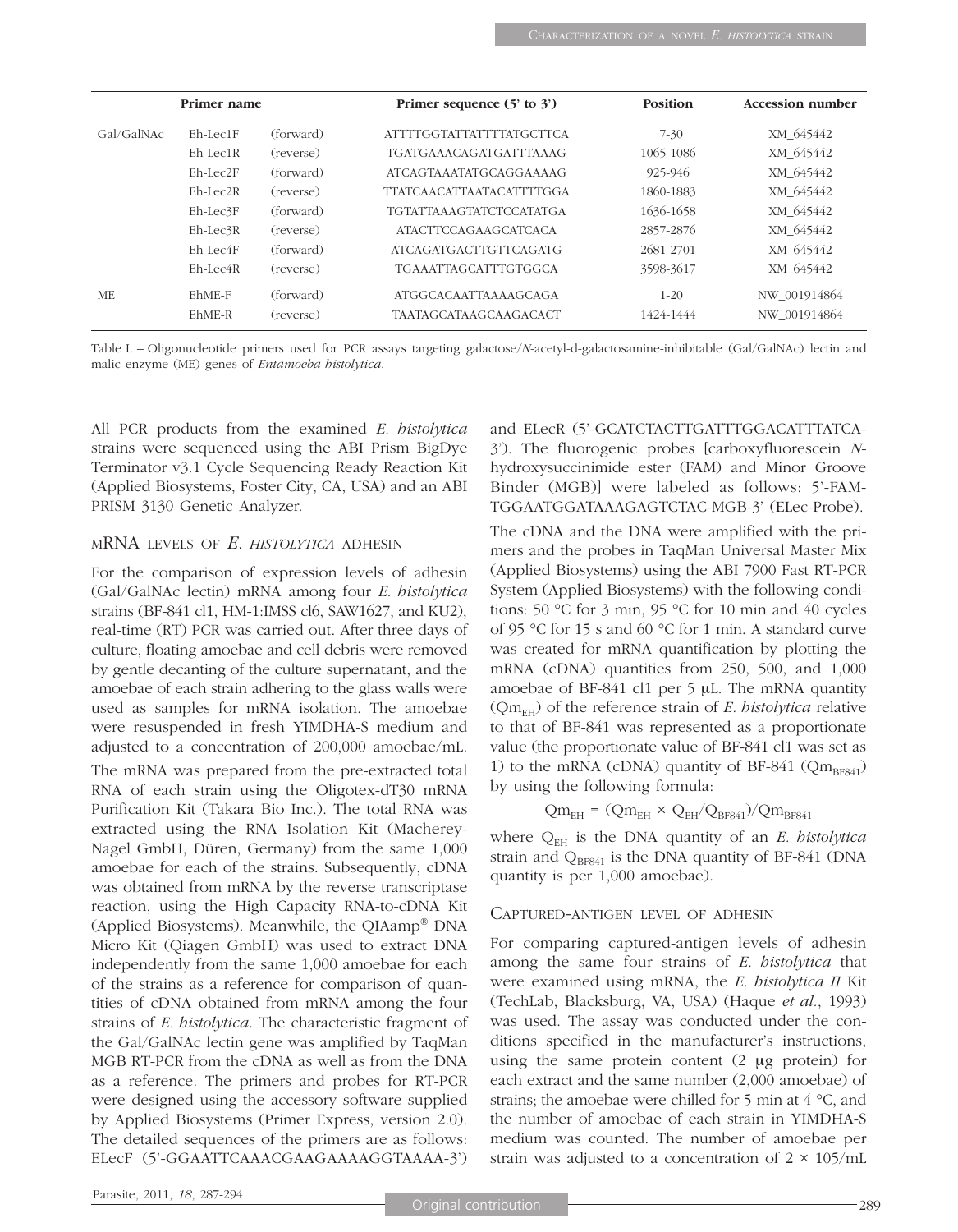|            | Primer name    |           | Primer sequence $(5'$ to $3')$  | <b>Position</b> | <b>Accession number</b> |  |  |
|------------|----------------|-----------|---------------------------------|-----------------|-------------------------|--|--|
| Gal/GalNAc | $Eh-Lec1F$     | (forward) | <b>ATTTTGGTATTATTTTATGCTTCA</b> | $7 - 30$        | XM 645442               |  |  |
|            | Eh-Lec1R       | (reverse) | <b>TGATGAAACAGATGATTTAAAG</b>   | 1065-1086       | XM 645442               |  |  |
|            | $Eh-Lec2F$     | (forward) | <b>ATCAGTAAATATGCAGGAAAAG</b>   | 925-946         | XM 645442               |  |  |
|            | $Eh-Lec2R$     | (reverse) | TTATCA ACATTA ATACATTTTGGA      | 1860-1883       | XM 645442               |  |  |
|            | $Eh-Lec3F$     | (forward) | <b>TGTATTAAAGTATCTCCATATGA</b>  | 1636-1658       | XM 645442               |  |  |
|            | $Eh-Lec$ 3 $R$ | (reverse) | <b>ATACTTCCAGAAGCATCACA</b>     | 2857-2876       | XM 645442               |  |  |
|            | $Eh-Lec4F$     | (forward) | <b>ATCAGATGACTTGTTCAGATG</b>    | 2681-2701       | XM 645442               |  |  |
|            | $Eh-Lec4R$     | (reverse) | <b>TGAAATTAGCATTTGTGGCA</b>     | 3598-3617       | XM 645442               |  |  |
| ME         | EhME-F         | (forward) | <b>ATGGCACAATTAAAAGCAGA</b>     | $1 - 20$        | NW 001914864            |  |  |
|            | EhME-R         | (reverse) | <b>TAATAGCATAAGCAAGACACT</b>    | 1424-1444       | NW 001914864            |  |  |

Table I. – Oligonucleotide primers used for PCR assays targeting galactose/*N*-acetyl-d-galactosamine-inhibitable (Gal/GalNAc) lectin and malic enzyme (ME) genes of *Entamoeba histolytica*.

All PCR products from the examined *E. histolytica* strains were sequenced using the ABI Prism BigDye Terminator v3.1 Cycle Sequencing Ready Reaction Kit (Applied Biosystems, Foster City, CA, USA) and an ABI PRISM 3130 Genetic Analyzer.

#### MRNA LEVELS OF *E. HISTOLYTICA* ADHESIN

For the comparison of expression levels of adhesin (Gal/GalNAc lectin) mRNA among four *E. histolytica* strains (BF-841 cl1, HM-1:IMSS cl6, SAW1627, and KU2), real-time (RT) PCR was carried out. After three days of culture, floating amoebae and cell debris were removed by gentle decanting of the culture supernatant, and the amoebae of each strain adhering to the glass walls were used as samples for mRNA isolation. The amoebae were resuspended in fresh YIMDHA-S medium and adjusted to a concentration of 200,000 amoebae/mL.

The mRNA was prepared from the pre-extracted total RNA of each strain using the Oligotex-dT30 mRNA Purification Kit (Takara Bio Inc.). The total RNA was extracted using the RNA Isolation Kit (Macherey-Nagel GmbH, Düren, Germany) from the same 1,000 amoebae for each of the strains. Subsequently, cDNA was obtained from mRNA by the reverse transcriptase reaction, using the High Capacity RNA-to-cDNA Kit (Applied Biosystems). Meanwhile, the QIAamp® DNA Micro Kit (Qiagen GmbH) was used to extract DNA independently from the same 1,000 amoebae for each of the strains as a reference for comparison of quantities of cDNA obtained from mRNA among the four strains of *E. histolytica*. The characteristic fragment of the Gal/GalNAc lectin gene was amplified by TaqMan MGB RT-PCR from the cDNA as well as from the DNA as a reference. The primers and probes for RT-PCR were designed using the accessory software supplied by Applied Biosystems (Primer Express, version 2.0). The detailed sequences of the primers are as follows: ELecF (5'-GGAATTCAAACGAAGAAAAGGTAAAA-3') and ELecR (5'-GCATCTACTTGATTTGGACATTTATCA-3'). The fluorogenic probes [carboxyfluorescein *N*hydroxysuccinimide ester (FAM) and Minor Groove Binder (MGB)] were labeled as follows: 5'-FAM-TGGAATGGATAAAGAGTCTAC-MGB-3' (ELec-Probe).

The cDNA and the DNA were amplified with the primers and the probes in TaqMan Universal Master Mix (Applied Biosystems) using the ABI 7900 Fast RT-PCR System (Applied Biosystems) with the following conditions: 50 °C for 3 min, 95 °C for 10 min and 40 cycles of 95 °C for 15 s and 60 °C for 1 min. A standard curve was created for mRNA quantification by plotting the mRNA (cDNA) quantities from 250, 500, and 1,000 amoebae of BF-841 cl1 per 5 μL. The mRNA quantity  $(Qm<sub>FH</sub>)$  of the reference strain of *E. histolytica* relative to that of BF-841 was represented as a proportionate value (the proportionate value of BF-841 cl1 was set as 1) to the mRNA (cDNA) quantity of BF-841 ( $Qm_{BFS41}$ ) by using the following formula:

$$
Qm_{EH} = (Qm_{EH} \times Q_{EH}/Q_{BFS41})/Qm_{BFS41}
$$

where  $Q_{EH}$  is the DNA quantity of an *E. histolytica* strain and  $Q_{BFS41}$  is the DNA quantity of BF-841 (DNA quantity is per 1,000 amoebae).

#### CAPTURED-ANTIGEN LEVEL OF ADHESIN

For comparing captured-antigen levels of adhesin among the same four strains of *E. histolytica* that were examined using mRNA, the *E. histolytica II* Kit (TechLab, Blacksburg, VA, USA) (Haque *et al.*, 1993) was used. The assay was conducted under the conditions specified in the manufacturer's instructions, using the same protein content (2 μg protein) for each extract and the same number (2,000 amoebae) of strains; the amoebae were chilled for 5 min at 4 °C, and the number of amoebae of each strain in YIMDHA-S medium was counted. The number of amoebae per strain was adjusted to a concentration of  $2 \times 105$ /mL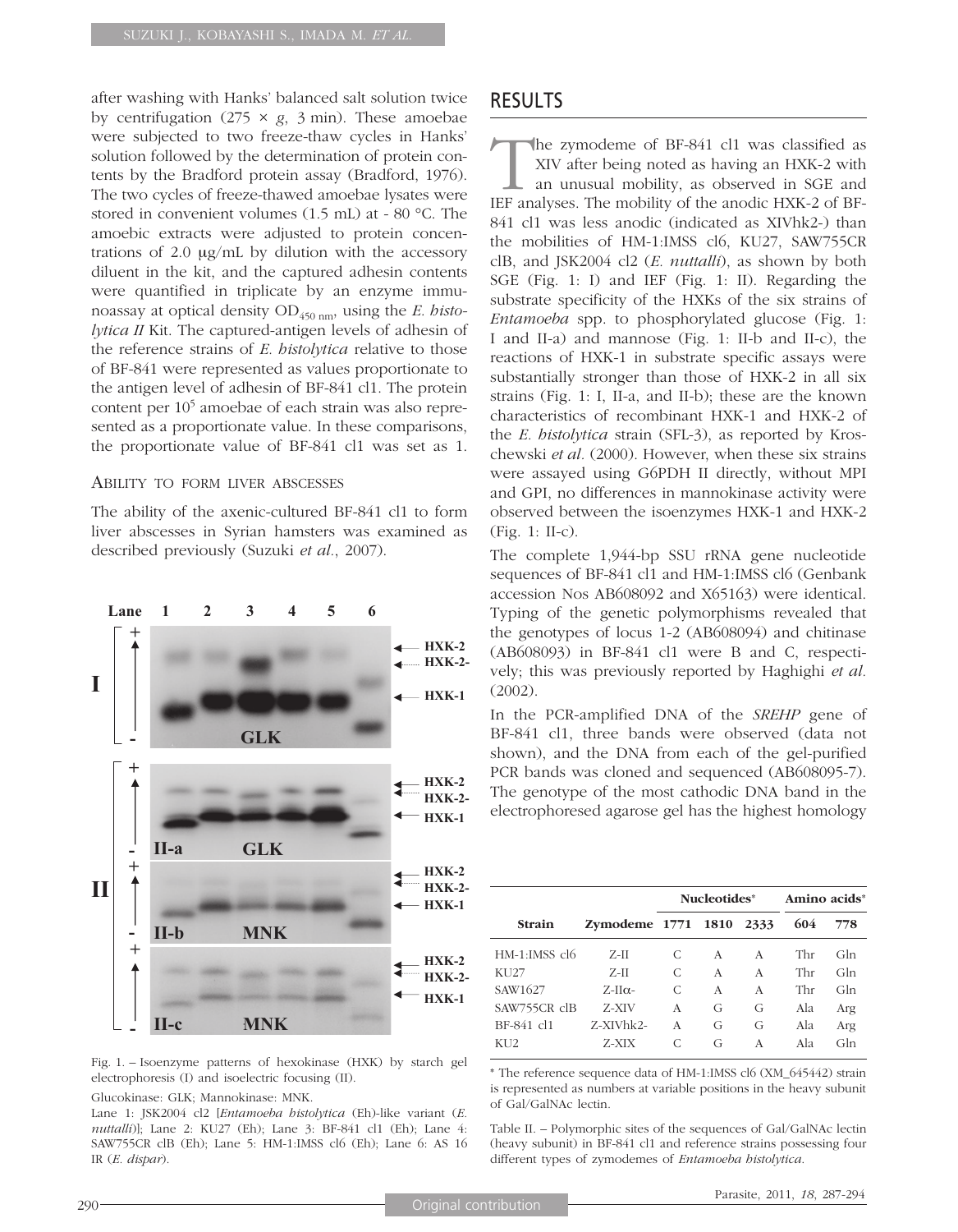after washing with Hanks' balanced salt solution twice by centrifugation  $(275 \times g, 3 \text{ min})$ . These amoebae were subjected to two freeze-thaw cycles in Hanks' solution followed by the determination of protein contents by the Bradford protein assay (Bradford, 1976). The two cycles of freeze-thawed amoebae lysates were stored in convenient volumes (1.5 mL) at - 80 °C. The amoebic extracts were adjusted to protein concentrations of 2.0 μg/mL by dilution with the accessory diluent in the kit, and the captured adhesin contents were quantified in triplicate by an enzyme immunoassay at optical density OD<sub>450 nm</sub>, using the *E. histolytica II* Kit. The captured-antigen levels of adhesin of the reference strains of *E. histolytica* relative to those of BF-841 were represented as values proportionate to the antigen level of adhesin of BF-841 cl1. The protein content per 105 amoebae of each strain was also represented as a proportionate value. In these comparisons, the proportionate value of BF-841 cl1 was set as 1.

#### ABILITY TO FORM LIVER ABSCESSES

The ability of the axenic-cultured BF-841 cl1 to form liver abscesses in Syrian hamsters was examined as described previously (Suzuki *et al.*, 2007).



Fig. 1. – Isoenzyme patterns of hexokinase (HXK) by starch gel electrophoresis (I) and isoelectric focusing (II).

#### Glucokinase: GLK; Mannokinase: MNK.

Lane 1: JSK2004 cl2 [*Entamoeba histolytica* (Eh)-like variant (*E. nuttalli*)]; Lane 2: KU27 (Eh); Lane 3: BF-841 cl1 (Eh); Lane 4: SAW755CR clB (Eh); Lane 5: HM-1:IMSS cl6 (Eh); Lane 6: AS 16 IR (*E. dispar*).

## RESULTS

The zymodeme of BF-841 cl1 was classified as XIV after being noted as having an HXK-2 with an unusual mobility, as observed in SGE and IEF analyses. The mobility of the anodic HXK-2 of BF-841 cl1 was less anodic (indicated as XIVhk2-) than the mobilities of HM-1:IMSS cl6, KU27, SAW755CR clB, and JSK2004 cl2 (*E. nuttalli*), as shown by both SGE (Fig. 1: I) and IEF (Fig. 1: II). Regarding the substrate specificity of the HXKs of the six strains of *Entamoeba* spp. to phosphorylated glucose (Fig. 1: I and II-a) and mannose (Fig. 1: II-b and II-c), the reactions of HXK-1 in substrate specific assays were substantially stronger than those of HXK-2 in all six strains (Fig. 1: I, II-a, and II-b); these are the known characteristics of recombinant HXK-1 and HXK-2 of the *E. histolytica* strain (SFL-3), as reported by Kroschewski *et al.* (2000). However, when these six strains were assayed using G6PDH II directly, without MPI and GPI, no differences in mannokinase activity were observed between the isoenzymes HXK-1 and HXK-2 (Fig. 1: II-c).

The complete 1,944-bp SSU rRNA gene nucleotide sequences of BF-841 cl1 and HM-1:IMSS cl6 (Genbank accession Nos AB608092 and X65163) were identical. Typing of the genetic polymorphisms revealed that the genotypes of locus 1-2 (AB608094) and chitinase (AB608093) in BF-841 cl1 were B and C, respectively; this was previously reported by Haghighi *et al.* (2002).

In the PCR-amplified DNA of the *SREHP* gene of BF-841 cl1, three bands were observed (data not shown), and the DNA from each of the gel-purified PCR bands was cloned and sequenced (AB608095-7). The genotype of the most cathodic DNA band in the electrophoresed agarose gel has the highest homology

|                   |                    |   | Nucleotides* | Amino acids* |     |     |
|-------------------|--------------------|---|--------------|--------------|-----|-----|
| <b>Strain</b>     | Zymodeme 1771 1810 |   |              | 2333         | 604 | 778 |
| $HM-1:IMSS$ $c16$ | $Z-II$             | C | A            | A            | Thr | Gln |
| KU27              | $Z-II$             | C | A            | A            | Thr | Gln |
| SAW1627           | $Z$ -II $\alpha$ - | C | A            | A            | Thr | Gln |
| SAW755CR clB      | Z-XIV              | A | G            | G            | Ala | Arg |
| BF-841 cl1        | Z-XIVhk2-          | A | G            | G            | Ala | Arg |
| KU2               | Z-XIX              | C | G            | A            | Ala | Gln |

\* The reference sequence data of HM-1:IMSS cl6 (XM\_645442) strain is represented as numbers at variable positions in the heavy subunit of Gal/GalNAc lectin.

Table II. – Polymorphic sites of the sequences of Gal/GalNAc lectin (heavy subunit) in BF-841 cl1 and reference strains possessing four different types of zymodemes of *Entamoeba histolytica*.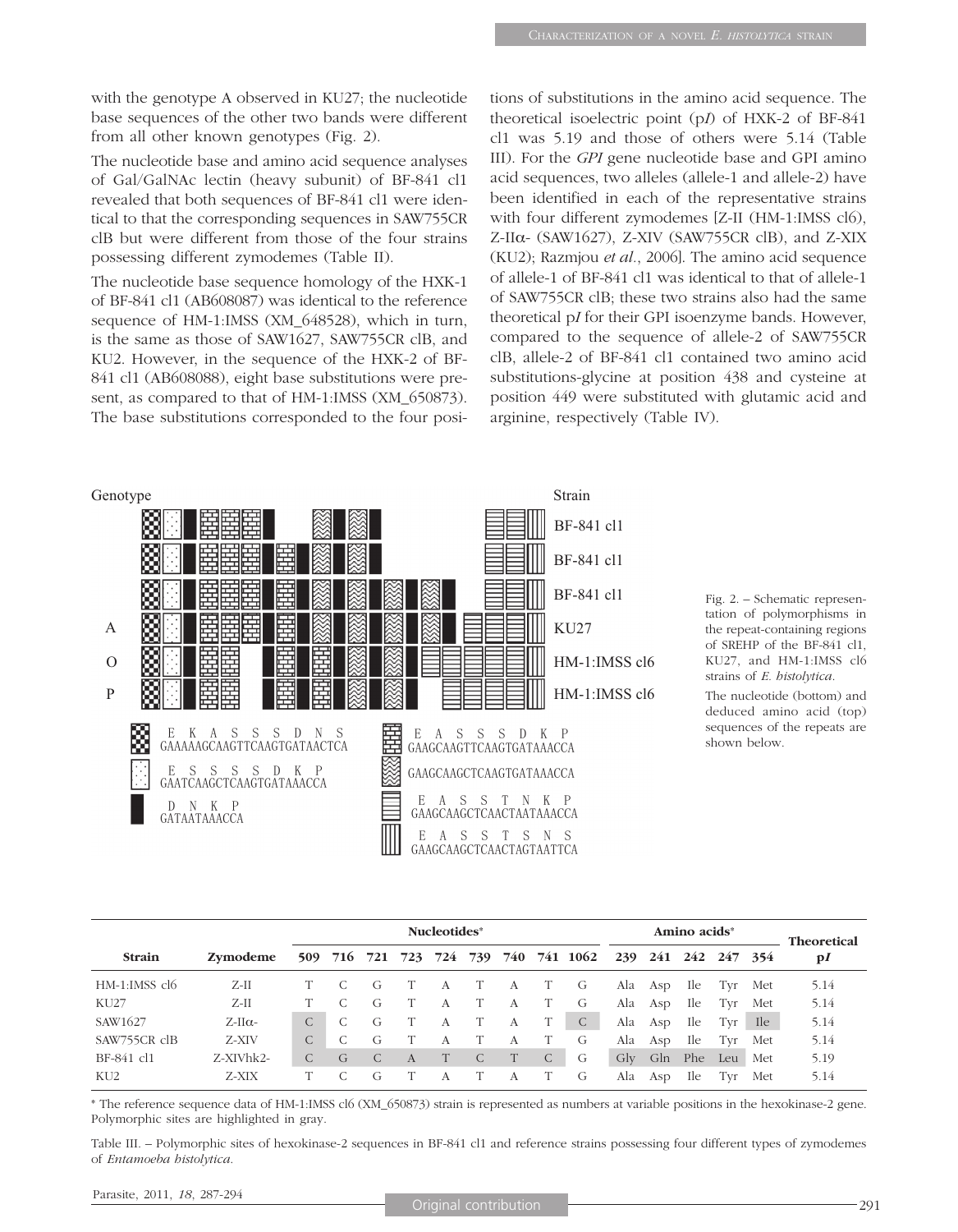with the genotype A observed in KU27; the nucleotide base sequences of the other two bands were different from all other known genotypes (Fig. 2).

The nucleotide base and amino acid sequence analyses of Gal/GalNAc lectin (heavy subunit) of BF-841 cl1 revealed that both sequences of BF-841 cl1 were identical to that the corresponding sequences in SAW755CR clB but were different from those of the four strains possessing different zymodemes (Table II).

The nucleotide base sequence homology of the HXK-1 of BF-841 cl1 (AB608087) was identical to the reference sequence of HM-1:IMSS (XM\_648528), which in turn, is the same as those of SAW1627, SAW755CR clB, and KU2. However, in the sequence of the HXK-2 of BF-841 cl1 (AB608088), eight base substitutions were present, as compared to that of HM-1:IMSS (XM\_650873). The base substitutions corresponded to the four positions of substitutions in the amino acid sequence. The theoretical isoelectric point (p*I*) of HXK-2 of BF-841 cl1 was 5.19 and those of others were 5.14 (Table III). For the *GPI* gene nucleotide base and GPI amino acid sequences, two alleles (allele-1 and allele-2) have been identified in each of the representative strains with four different zymodemes [Z-II (HM-1:IMSS cl6), Z-II $\alpha$ - (SAW1627), Z-XIV (SAW755CR clB), and Z-XIX (KU2); Razmjou *et al.*, 2006]. The amino acid sequence of allele-1 of BF-841 cl1 was identical to that of allele-1 of SAW755CR clB; these two strains also had the same theoretical p*I* for their GPI isoenzyme bands. However, compared to the sequence of allele-2 of SAW755CR clB, allele-2 of BF-841 cl1 contained two amino acid substitutions-glycine at position 438 and cysteine at position 449 were substituted with glutamic acid and arginine, respectively (Table IV).



Fig. 2. – Schematic representation of polymorphisms in the repeat-containing regions of SREHP of the BF-841 cl1, KU27, and HM-1:IMSS cl6 strains of *E. histolytica*.

The nucleotide (bottom) and deduced amino acid (top) sequences of the repeats are shown below.

|                 |               | Nucleotides* |   |   |   |   |   |   |              |                                      |     | <b>Theoretical</b>  |            |         |       |              |
|-----------------|---------------|--------------|---|---|---|---|---|---|--------------|--------------------------------------|-----|---------------------|------------|---------|-------|--------------|
| <b>Strain</b>   | Zymodeme      |              |   |   |   |   |   |   |              | 509 716 721 723 724 739 740 741 1062 |     | 239 241 242 247 354 |            |         |       | $\mathbf{p}$ |
| HM-1:IMSS cl6   | Z-II          |              |   | G | T | A | T | A |              | G                                    |     | Ala Asp             | - Ile      | Tvr Met |       | 5.14         |
| <b>KU27</b>     | $Z-II$        |              |   | G |   | А |   | A | T            | G                                    |     | Ala Asp             | Ile        | Tvr     | Met   | 5.14         |
| SAW1627         | $Z-II\alpha-$ |              | C | G |   | А |   | А |              | C                                    |     | Ala Asp             | Ile        | Tvr     | - Ile | 5.14         |
| SAW755CR clB    | Z-XIV         | $\mathsf{C}$ | C | G |   | А |   | А | T.           | G                                    | Ala | Asp                 | - Ile      | Tyr     | Met   | 5.14         |
| BF-841 cl1      | $Z-XIVhk2-$   |              | G | C | A |   | C | T | $\mathsf{C}$ | G                                    | Gly | Gln                 | Phe        | Leu     | Met   | 5.19         |
| KU <sub>2</sub> | Z-XIX         |              |   | G |   | A |   | А |              | G                                    | Ala | Asp                 | <b>Ile</b> | Tvr     | Met   | 5.14         |

\* The reference sequence data of HM-1:IMSS cl6 (XM\_650873) strain is represented as numbers at variable positions in the hexokinase-2 gene. Polymorphic sites are highlighted in gray.

Table III. – Polymorphic sites of hexokinase-2 sequences in BF-841 cl1 and reference strains possessing four different types of zymodemes of *Entamoeba histolytica*.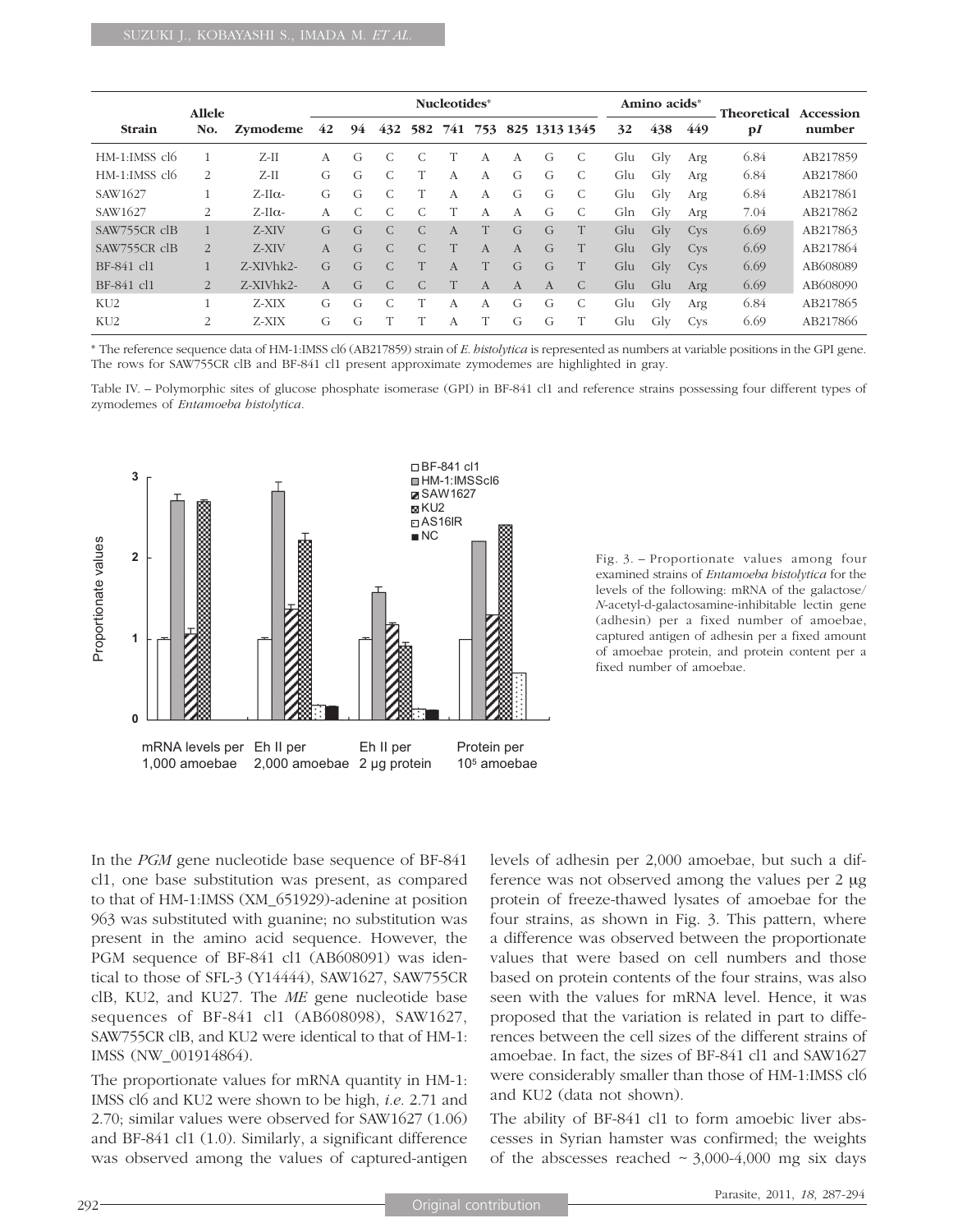| <b>Allele</b>               |              |               | Nucleotides* |               |               |               |                |              |               |               |    | Amino acids <sup>*</sup> |           |            | <b>Theoretical</b> | Accession |
|-----------------------------|--------------|---------------|--------------|---------------|---------------|---------------|----------------|--------------|---------------|---------------|----|--------------------------|-----------|------------|--------------------|-----------|
| <b>Strain</b>               | No.          | Zymodeme      | 42           | 94            | 432           | 582           | 741            | 753          |               | 825 1313 1345 |    | 32                       | 438       | 449        | $\mathbf{p}$       | number    |
| $HM-1:IMSS$ $c16$           |              | $Z-II$        | A            | G             |               |               |                | A            | A             | G             | C  | Glu                      | Gly       | Arg        | 6.84               | AB217859  |
| $HM-1:IMSS$ cl <sub>6</sub> | 2            | $Z$ -II       | G            | G             |               |               | $\mathsf{A}$   | $\mathsf{A}$ | G             | G             | C. | Glu                      | Glv       | Arg        | 6.84               | AB217860  |
| SAW1627                     |              | $Z-II\alpha-$ | G            | G             |               | T             | $\mathsf{A}$   | $\mathsf{A}$ | G             | G             |    | Glu                      | Gly       | Arg        | 6.84               | AB217861  |
| SAW1627                     | 2            | $Z-II\alpha-$ | A            | $\mathcal{C}$ |               |               |                | A            | A             | G             | C  | Gln                      | Glv       | Arg        | 7.04               | AB217862  |
| SAW755CR clB                |              | Z-XIV         | $\mathsf{G}$ | $\mathcal{G}$ | $\mathcal{C}$ | $\mathcal{C}$ | $\mathbf{A}$   | T            | $\mathcal{G}$ | G             |    | Glu                      | $\rm Glv$ | <b>Cys</b> | 6.69               | AB217863  |
| SAW755CR clB                | 2            | Z-XIV         | $\mathsf{A}$ | $\mathcal{G}$ | $\mathcal{C}$ | $\mathcal{C}$ |                | $\mathsf{A}$ | $\mathsf{A}$  | $\mathcal{G}$ | T  | Glu                      | Glv       | <b>Cys</b> | 6.69               | AB217864  |
| BF-841 cl1                  | $\mathbf{1}$ | Z-XIVhk2-     | $\mathsf{G}$ | $\mathcal{G}$ |               |               | $\overline{A}$ |              | $\mathcal{G}$ | $\mathcal{G}$ |    | Glu                      | Glv       | <b>Cys</b> | 6.69               | AB608089  |
| BF-841 cl1                  | 2            | Z-XIVhk2-     | $\mathsf{A}$ | $\mathcal{G}$ | $\mathcal{C}$ |               | T              | $\mathsf{A}$ | $\mathsf{A}$  | $\mathsf{A}$  | C  | Glu                      | Glu       | Arg        | 6.69               | AB608090  |
| KU <sub>2</sub>             |              | Z-XIX         | G            | G             |               | T             | A              | A            | G             | G             | C  | Glu                      | Gly       | Arg        | 6.84               | AB217865  |
| KU <sub>2</sub>             | 2            | Z-XIX         | G            | G             |               |               | A              |              | G             | G             |    | Glu                      | Gly       | <b>Cys</b> | 6.69               | AB217866  |

\* The reference sequence data of HM-1:IMSS cl6 (AB217859) strain of *E. histolytica* is represented as numbers at variable positions in the GPI gene. The rows for SAW755CR clB and BF-841 cl1 present approximate zymodemes are highlighted in gray.

Table IV. – Polymorphic sites of glucose phosphate isomerase (GPI) in BF-841 cl1 and reference strains possessing four different types of zymodemes of *Entamoeba histolytica*.



Fig. 3. – Proportionate values among four examined strains of *Entamoeba histolytica* for the levels of the following: mRNA of the galactose/ *N*-acetyl-d-galactosamine-inhibitable lectin gene (adhesin) per a fixed number of amoebae, captured antigen of adhesin per a fixed amount of amoebae protein, and protein content per a fixed number of amoebae.

In the *PGM* gene nucleotide base sequence of BF-841 cl1, one base substitution was present, as compared to that of HM-1:IMSS (XM\_651929)-adenine at position 963 was substituted with guanine; no substitution was present in the amino acid sequence. However, the PGM sequence of BF-841 cl1 (AB608091) was identical to those of SFL-3 (Y14444), SAW1627, SAW755CR clB, KU2, and KU27. The *ME* gene nucleotide base sequences of BF-841 cl1 (AB608098), SAW1627, SAW755CR clB, and KU2 were identical to that of HM-1: IMSS (NW\_001914864).

The proportionate values for mRNA quantity in HM-1: IMSS cl6 and KU2 were shown to be high, *i.e.* 2.71 and 2.70; similar values were observed for SAW1627 (1.06) and BF-841 cl1 (1.0). Similarly, a significant difference was observed among the values of captured-antigen levels of adhesin per 2,000 amoebae, but such a difference was not observed among the values per 2 μg protein of freeze-thawed lysates of amoebae for the four strains, as shown in Fig. 3. This pattern, where a difference was observed between the proportionate values that were based on cell numbers and those based on protein contents of the four strains, was also seen with the values for mRNA level. Hence, it was proposed that the variation is related in part to differences between the cell sizes of the different strains of amoebae. In fact, the sizes of BF-841 cl1 and SAW1627 were considerably smaller than those of HM-1:IMSS cl6 and KU2 (data not shown).

The ability of BF-841 cl1 to form amoebic liver abscesses in Syrian hamster was confirmed; the weights of the abscesses reached  $\sim$  3,000-4,000 mg six days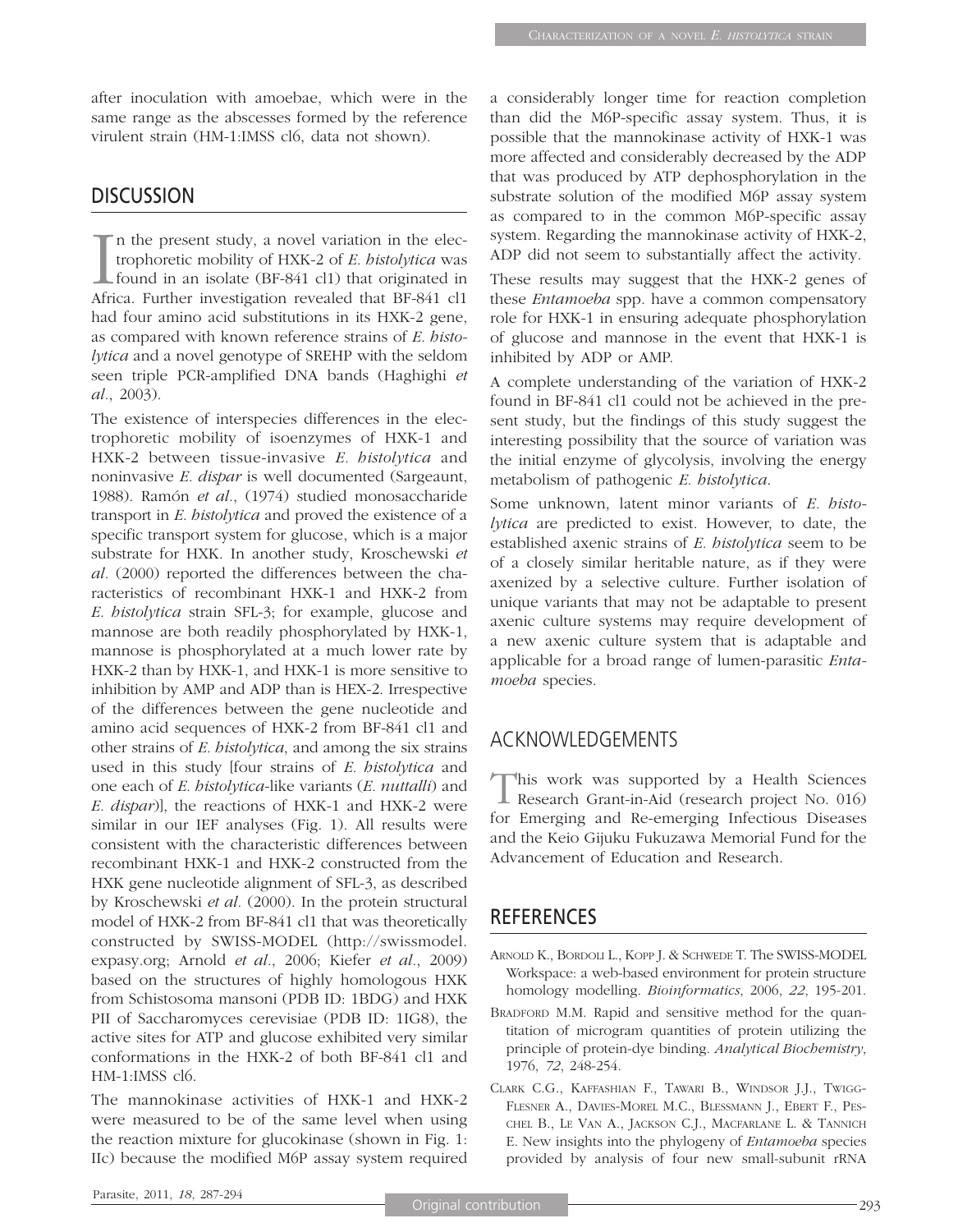after inoculation with amoebae, which were in the same range as the abscesses formed by the reference virulent strain (HM-1:IMSS cl6, data not shown).

## **DISCUSSION**

In the present study, a novel variation in the electrophoretic mobility of HXK-2 of *E. bistolytica* was found in an isolate (BF-841 cl1) that originated in Africa. Further investigation revealed that BF-841 cl1 trophoretic mobility of HXK-2 of *E. histolytica* was found in an isolate (BF-841 cl1) that originated in Africa. Further investigation revealed that BF-841 cl1 had four amino acid substitutions in its HXK-2 gene, as compared with known reference strains of *E. histolytica* and a novel genotype of SREHP with the seldom seen triple PCR-amplified DNA bands (Haghighi *et al.*, 2003).

The existence of interspecies differences in the electrophoretic mobility of isoenzymes of HXK-1 and HXK-2 between tissue-invasive *E. histolytica* and noninvasive *E. dispar* is well documented (Sargeaunt, 1988). Ramón *et al.*, (1974) studied monosaccharide transport in *E. histolytica* and proved the existence of a specific transport system for glucose, which is a major substrate for HXK. In another study, Kroschewski *et al.* (2000) reported the differences between the characteristics of recombinant HXK-1 and HXK-2 from *E. histolytica* strain SFL-3; for example, glucose and mannose are both readily phosphorylated by HXK-1, mannose is phosphorylated at a much lower rate by HXK-2 than by HXK-1, and HXK-1 is more sensitive to inhibition by AMP and ADP than is HEX-2. Irrespective of the differences between the gene nucleotide and amino acid sequences of HXK-2 from BF-841 cl1 and other strains of *E. histolytica*, and among the six strains used in this study [four strains of *E. histolytica* and one each of *E. histolytica*-like variants (*E. nuttalli*) and *E. dispar*)], the reactions of HXK-1 and HXK-2 were similar in our IEF analyses (Fig. 1). All results were consistent with the characteristic differences between recombinant HXK-1 and HXK-2 constructed from the HXK gene nucleotide alignment of SFL-3, as described by Kroschewski *et al.* (2000). In the protein structural model of HXK-2 from BF-841 cl1 that was theoretically constructed by SWISS-MODEL (http://swissmodel. expasy.org; Arnold *et al.*, 2006; Kiefer *et al.*, 2009) based on the structures of highly homologous HXK from Schistosoma mansoni (PDB ID: 1BDG) and HXK PII of Saccharomyces cerevisiae (PDB ID: 1IG8), the active sites for ATP and glucose exhibited very similar conformations in the HXK-2 of both BF-841 cl1 and HM-1:IMSS cl6.

The mannokinase activities of HXK-1 and HXK-2 were measured to be of the same level when using the reaction mixture for glucokinase (shown in Fig. 1: IIc) because the modified M6P assay system required a considerably longer time for reaction completion than did the M6P-specific assay system. Thus, it is possible that the mannokinase activity of HXK-1 was more affected and considerably decreased by the ADP that was produced by ATP dephosphorylation in the substrate solution of the modified M6P assay system as compared to in the common M6P-specific assay system. Regarding the mannokinase activity of HXK-2, ADP did not seem to substantially affect the activity.

These results may suggest that the HXK-2 genes of these *Entamoeba* spp. have a common compensatory role for HXK-1 in ensuring adequate phosphorylation of glucose and mannose in the event that HXK-1 is inhibited by ADP or AMP.

A complete understanding of the variation of HXK-2 found in BF-841 cl1 could not be achieved in the present study, but the findings of this study suggest the interesting possibility that the source of variation was the initial enzyme of glycolysis, involving the energy metabolism of pathogenic *E. histolytica*.

Some unknown, latent minor variants of *E. histolytica* are predicted to exist. However, to date, the established axenic strains of *E. histolytica* seem to be of a closely similar heritable nature, as if they were axenized by a selective culture. Further isolation of unique variants that may not be adaptable to present axenic culture systems may require development of a new axenic culture system that is adaptable and applicable for a broad range of lumen-parasitic *Entamoeba* species.

# ACKNOWLEDGEMENTS

This work was supported by a Health Sciences<br>Research Grant-in-Aid (research project No. 016) for Emerging and Re-emerging Infectious Diseases and the Keio Gijuku Fukuzawa Memorial Fund for the Advancement of Education and Research.

# **REFERENCES**

- ARNOLD K., BORDOLI L., KOPP J. & SCHWEDE T. The SWISS-MODEL Workspace: a web-based environment for protein structure homology modelling. *Bioinformatics*, 2006, *22*, 195-201.
- BRADFORD M.M. Rapid and sensitive method for the quantitation of microgram quantities of protein utilizing the principle of protein-dye binding. *Analytical Biochemistry*, 1976, *72*, 248-254.
- CLARK C.G., KAFFASHIAN F., TAWARI B., WINDSOR J.J., TWIGG-FLESNER A., DAVIES-MOREL M.C., BLESSMANN J., EBERT F., PES-CHEL B., LE VAN A., JACKSON C.J., MACFARLANE L. & TANNICH E. New insights into the phylogeny of *Entamoeba* species provided by analysis of four new small-subunit rRNA